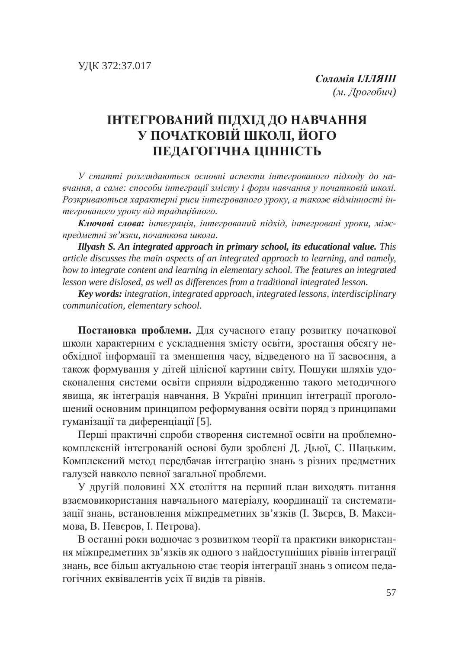## **ЛНТЕГРОВАНИЙ ПІДХІД ДО НАВЧАННЯ У ПОЧАТКОВІЙ ШКОЛІ, ЙОГО** ПЕДАГОГІЧНА ЦІННІСТЬ

У статті розглядаються основні аспекти інтегрованого підходу до на*ɜɱɚɧɧɹ, ɚ ɫɚɦɟ: ɫɩɨɫɨɛɢ ɿɧɬɟɝɪɚɰɿʀ ɡɦɿɫɬɭ ɿ ɮɨɪɦ ɧɚɜɱɚɧɧɹ ɭ ɩɨɱɚɬɤɨɜɿɣ ɲɤɨɥɿ.*  Розкриваються характерні риси інтегрованого уроку, а також відмінності ін $mezpo$ ваного уроку від традиційного.

Ключові слова: інтеграція, інтегрований підхід, інтегровані уроки, міжпредметні зв'язки, початкова школа.

*Illyash S. An integrated approach in primary school, its educational value. This article discusses the main aspects of an integrated approach to learning, and namely, how to integrate content and learning in elementary school. The features an integrated lesson were dislosed, as well as differences from a traditional integrated lesson.*

*Key words: integration, integrated approach, integrated lessons, interdisciplinary communication, elementary school.*

Постановка проблеми. Для сучасного етапу розвитку початкової школи характерним є ускладнення змісту освіти, зростання обсягу необхідної інформації та зменшення часу, відведеного на її засвоєння, а також формування у дітей цілісної картини світу. Пошуки шляхів удосконалення системи освіти сприяли відродженню такого методичного явища, як інтеграція навчання. В Україні принцип інтеграції проголошений основним принципом реформування освіти поряд з принципами гуманізації та диференціації [5].

Перші практичні спроби створення системної освіти на проблемнокомплексній інтегрованій основі були зроблені Д. Дьюї, С. Шацьким. Комплексний метод передбачав інтеграцію знань з різних предметних галузей навколо певної загальної проблеми.

У другій половині XX століття на перший план виходять питання взаємовикористання навчального матеріалу, координації та систематизації знань, встановлення міжпредметних зв'язків (І. Звєрєв, В. Максимова, В. Неверов, І. Петрова).

В останні роки водночас з розвитком теорії та практики використання міжпредметних зв'язків як одного з найдоступніших рівнів інтеграції знань, все більш актуальною стає теорія інтеграції знань з описом педагогічних еквівалентів усіх її видів та рівнів.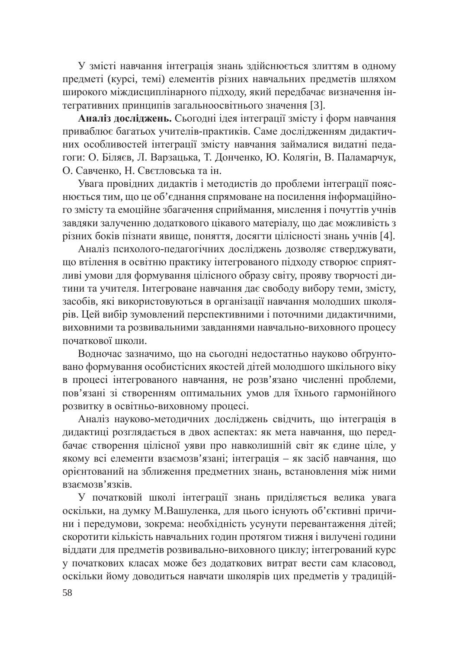У змісті навчання інтеграція знань здійснюється злиттям в одному предметі (курсі, темі) елементів різних навчальних предметів шляхом пирокого міждисциплінарного підходу, який передбачає визначення інтегративних принципів загальноосвітнього значення [3].

Аналіз досліджень. Сьогодні ідея інтеграції змісту і форм навчання приваблює багатьох учителів-практиків. Саме дослідженням дидактичних особливостей інтеграції змісту навчання займалися видатні педагоги: О. Біляєв, Л. Варзацька, Т. Донченко, Ю. Колягін, В. Паламарчук, О. Савченко, Н. Светловська та ін.

Увага провідних дидактів і методистів до проблеми інтеграції пояснюється тим, що це об'єднання спрямоване на посилення інформаційного змісту та емоційне збагачення сприймання, мислення і почуттів учнів завдяки залученню додаткового цікавого матеріалу, що дає можливість з різних боків пізнати явище, поняття, досягти цілісності знань учнів [4].

Аналіз психолого-педагогічних досліджень дозволяє стверджувати, що втілення в освітню практику інтегрованого підходу створює сприятливі умови для формування цілісного образу світу, прояву творчості дитини та учителя. Інтегроване навчання дає свободу вибору теми, змісту, засобів, які використовуються в організації навчання молодших школярів. Цей вибір зумовлений перспективними і поточними дидактичними, виховними та розвивальними завданнями навчально-виховного процесу початкової школи.

Водночас зазначимо, що на сьогодні недостатньо науково обґрунтовано формування особистісних якостей дітей молодшого шкільного віку в процесі інтегрованого навчання, не розв'язано численні проблеми, пов'язані зі створенням оптимальних умов для їхнього гармонійного розвитку в освітньо-виховному процесі.

Аналіз науково-методичних досліджень свідчить, що інтеграція в дидактиці розглядається в двох аспектах: як мета навчання, що передбачає створення цілісної уяви про навколишній світ як єдине ціле, у якому всі елементи взаємозв'язані; інтеграція – як засіб навчання, що орієнтований на зближення предметних знань, встановлення між ними B<sub>3</sub>aemo<sub>3</sub>B's<sub>3</sub>Ki<sub>B</sub>.

У початковій школі інтеграції знань приділяється велика увага оскільки, на думку М.Вашуленка, для цього існують об'єктивні причини і передумови, зокрема: необхідність усунути перевантаження дітей; скоротити кількість навчальних годин протягом тижня і вилучені години віддати для предметів розвивально-виховного циклу; інтегрований курс у початкових класах може без додаткових витрат вести сам класовод, оскільки йому доводиться навчати школярів цих предметів у традицій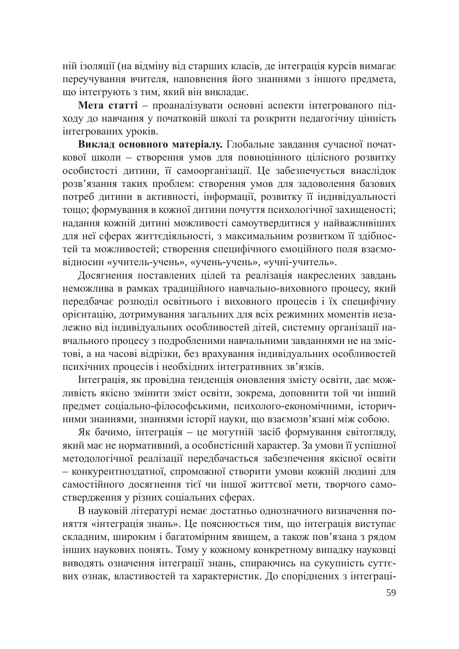ній ізоляції (на відміну від старших класів, де інтеграція курсів вимагає переучування вчителя, наповнення його знаннями з іншого предмета, що інтегрують з тим, який він викладає.

Мета статті – проаналізувати основні аспекти інтегрованого підходу до навчання у початковій школі та розкрити педагогічну цінність iнтегрованих уроків.

Виклад основного матеріалу. Глобальне завдання сучасної початкової школи – створення умов для повноцінного цілісного розвитку особистості дитини, її самоорганізації. Це забезпечується внаслідок розв'язання таких проблем: створення умов для задоволення базових потреб дитини в активності, інформації, розвитку її індивідуальності тощо; формування в кожної дитини почуття психологічної захищеності; надання кожній дитині можливості самоутвердитися у найважливіших для неї сферах життєдіяльності, з максимальним розвитком її здібностей та можливостей; створення специфічного емоційного поля взаємовідносин «учитель-учень», «учень-учень», «учні-учитель».

Досягнення поставлених цілей та реалізація накреслених завдань неможлива в рамках традиційного навчально-виховного процесу, який передбачає розподіл освітнього і виховного процесів і їх специфічну орієнтацію, дотримування загальних для всіх режимних моментів незадежно від індивідуальних особливостей дітей, системну організації навчального процесу з подробленими навчальними завданнями не на змістові, а на часові відрізки, без врахування індивідуальних особливостей психічних процесів і необхідних інтегративних зв'язків.

Інтеграція, як провідна тенденція оновлення змісту освіти, дає можливість якісно змінити зміст освіти, зокрема, доповнити той чи інший предмет соціально-філософськими, психолого-економічними, історичними знаннями, знаннями історії науки, що взаємозв'язані між собою.

Як бачимо, інтеграція – це могутній засіб формування світогляду, який має не нормативний, а особистісний характер. За умови її успішної методологічної реалізації передбачається забезпечення якісної освіти - конкурентноздатної, спроможної створити умови кожній людині для самостійного досягнення тієї чи іншої життєвої мети, творчого самоствердження у різних соціальних сферах.

В науковій літературі немає достатньо однозначного визначення поняття «інтеграція знань». Це пояснюється тим, що інтеграція виступає складним, широким і багатомірним явищем, а також пов'язана з рядом інших наукових понять. Тому у кожному конкретному випадку науковці виводять означення інтеграції знань, спираючись на сукупність суттєвих ознак, властивостей та характеристик. До споріднених з інтеграці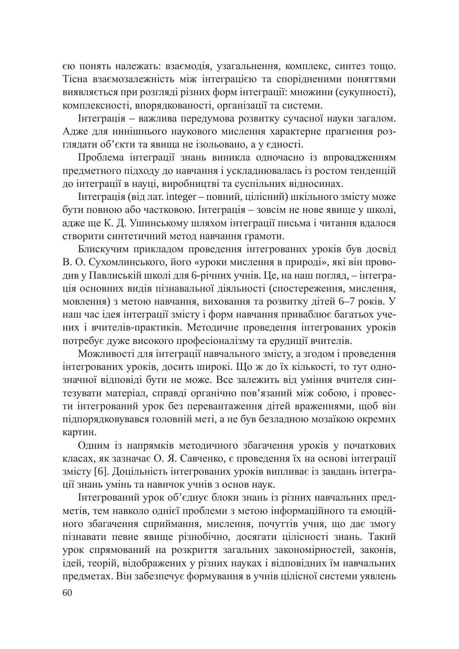єю понять належать: взаємодія, узагальнення, комплекс, синтез тощо. Тісна взаємозалежність між інтеграцією та спорідненими поняттями виявляється при розгляді різних форм інтеграції: множини (сукупності), комплексності, впорядкованості, організації та системи.

Інтеграція – важлива передумова розвитку сучасної науки загалом. Адже для нинішнього наукового мислення характерне прагнення розглядати об'єкти та явища не ізольовано, а у єдності.

проблема інтеграції знань виникла одночасно із впровадженням предметного підходу до навчання і ускладнювалась із ростом тенденцій до інтеграції в науці, виробництві та суспільних відносинах.

Iнтеграція (від лат. integer – повний, цілісний) шкільного змісту може бути повною або частковою. Інтеграція – зовсім не нове явище у школі, адже ще К. Д. Ушинському шляхом інтеграції письма і читання вдалося створити синтетичний метод навчання грамоти.

Блискучим прикладом проведення інтегрованих уроків був досвід В. О. Сухомлинського, його «уроки мислення в природі», які він проводив у Павлиській школі для 6-річних учнів. Це, на наш погляд, – інтеграція основних видів пізнавальної діяльності (спостереження, мислення, мовлення) з метою навчання, виховання та розвитку дітей 6–7 років. У наш час ідея інтеграції змісту і форм навчання приваблює багатьох учених і вчителів-практиків. Методичне проведення інтегрованих уроків потребує дуже високого професіоналізму та ерудиції вчителів.

Можливості для інтеграції навчального змісту, а згодом і проведення інтегрованих уроків, досить широкі. Що ж до їх кількості, то тут однозначної відповіді бути не може. Все залежить від уміння вчителя синтезувати матеріал, справді органічно пов'язаний між собою, і провести інтегрований урок без перевантаження дітей враженнями, щоб він підпорядковувався головній меті, а не був безладною мозаїкою окремих картин.

Одним із напрямків методичного збагачення уроків у початкових класах, як зазначає О. Я. Савченко, є проведення їх на основі інтеграції змісту [6]. Доцільність інтегрованих уроків випливає із завдань інтеграції знань умінь та навичок учнів з основ наук.

Інтегрований урок об'єднує блоки знань із різних навчальних предметів, тем навколо однієї проблеми з метою інформаційного та емоційного збагачення сприймання, мислення, почуттів учня, що дає змогу пізнавати певне явище різнобічно, досягати цілісності знань. Такий урок спрямований на розкриття загальних закономірностей, законів, ути и станали с и теорій, відображених у різних науках і відповідних їм навчальних предметах. Він забезпечує формування в учнів цілісної системи уявлень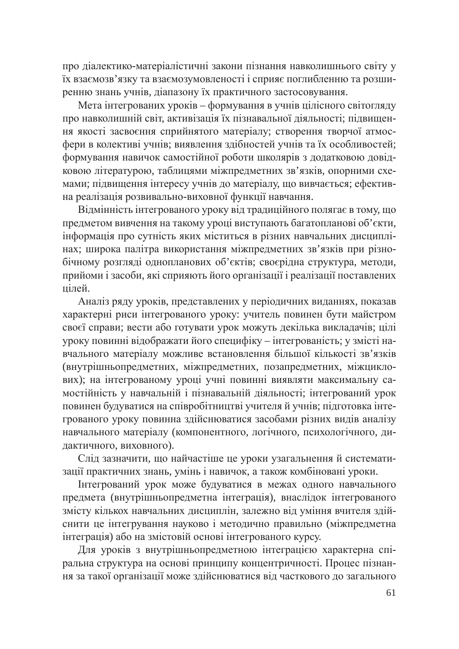про діалектико-матеріалістичні закони пізнання навколишнього світу у їх взаємозв'язку та взаємозумовленості і сприяє поглибленню та розширенню знань учнів, діапазону їх практичного застосовування.

Мета інтегрованих уроків – формування в учнів цілісного світогляду про навколишній світ, активізація їх пізнавальної діяльності; підвищення якості засвоєння сприйнятого матеріалу; створення творчої атмосфери в колективі учнів; виявлення здібностей учнів та їх особливостей; формування навичок самостійної роботи школярів з додатковою довідковою літературою, таблицями міжпредметних зв'язків, опорними схемами; підвищення інтересу учнів до матеріалу, що вивчається; ефективна реалізація розвивально-виховної функції навчання.

Відмінність інтегрованого уроку від традиційного полягає в тому, що предметом вивчення на такому уроці виступають багатопланові об'єкти, інформація про сутність яких міститься в різних навчальних дисциплінах; широка палітра використання міжпредметних зв'язків при різнобічному розгляді однопланових об'єктів; своєрідна структура, методи, прийоми і засоби, які сприяють його організації і реалізації поставлених цілей.

Аналіз ряду уроків, представлених у періодичних виданнях, показав характерні риси інтегрованого уроку: учитель повинен бути майстром своєї справи; вести або готувати урок можуть декілька викладачів; цілі уроку повинні відображати його специфіку – інтегрованість; у змісті навчального матеріалу можливе встановлення більшої кількості зв'язків (внутрішньопредметних, міжпредметних, позапредметних, міжциклових); на інтегрованому уроці учні повинні виявляти максимальну самостійність у навчальній і пізнавальній діяльності; інтегрований урок повинен будуватися на співробітництві учителя й учнів; підготовка інтегрованого уроку повинна здійснюватися засобами різних видів аналізу навчального матеріалу (компонентного, логічного, психологічного, дидактичного, виховного).

Слід зазначити, що найчастіше це уроки узагальнення й систематизації практичних знань, умінь і навичок, а також комбіновані уроки.

Iнтегрований урок може будуватися в межах одного навчального предмета (внутрішньопредметна інтеграція), внаслідок інтегрованого змісту кількох навчальних дисциплін, залежно від уміння вчителя здійснити це інтегрування науково і методично правильно (міжпредметна інтеграція) або на змістовій основі інтегрованого курсу.

Для уроків з внутрішньопредметною інтеграцією характерна спіральна структура на основі принципу концентричності. Процес пізнання за такої організації може здійснюватися від часткового до загального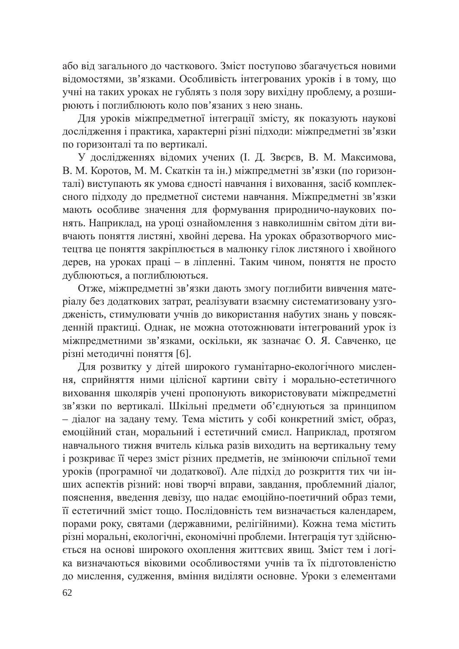або від загального до часткового. Зміст поступово збагачується новими відомостями, зв'язками. Особливість інтегрованих уроків і в тому, що учні на таких уроках не гублять з поля зору вихідну проблему, а розшиу<br>рюють і поглиблюють коло пов'язаних з нею знань.

Для уроків міжпредметної інтеграції змісту, як показують наукові дослідження і практика, характерні різні підходи: міжпредметні зв'язки по горизонталі та по вертикалі.

У дослідженнях відомих учених (І. Д. Звєрєв, В. М. Максимова, В. М. Коротов, М. М. Скаткін та ін.) міжпредметні зв'язки (по горизонталі) виступають як умова єдності навчання і виховання, засіб комплексного підходу до предметної системи навчання. Міжпредметні зв'язки мають особливе значення для формування природничо-наукових понять. Наприклад, на уроці ознайомлення з навколишнім світом діти вивчають поняття листяні, хвойні дерева. На уроках образотворчого мистецтва це поняття закріплюється в малюнку гілок листяного і хвойного дерев, на уроках праці – в ліпленні. Таким чином, поняття не просто дублюються, а поглиблюються.

Отже, міжпредметні зв'язки дають змогу поглибити вивчення матеріалу без додаткових затрат, реалізувати взаємну систематизовану узгодженість, стимулювати учнів до використання набутих знань у повсякденній практиці. Однак, не можна ототожнювати інтегрований урок із міжпредметними зв'язками, оскільки, як зазначає О. Я. Савченко, це різні методичні поняття [6].

Для розвитку у дітей широкого гуманітарно-екологічного мислення, сприйняття ними цілісної картини світу і морально-естетичного виховання школярів учені пропонують використовувати міжпредметні зв'язки по вертикалі. Шкільні предмети об'єднуються за принципом – діалог на задану тему. Тема містить у собі конкретний зміст, образ, емоційний стан, моральний і естетичний смисл. Наприклад, протягом навчального тижня вчитель кілька разів виходить на вертикальну тему і розкриває її через зміст різних предметів, не змінюючи спільної теми уроків (програмної чи додаткової). Але підхід до розкриття тих чи інших аспектів різний: нові творчі вправи, завдання, проблемний діалог, пояснення, введення девізу, що надає емоційно-поетичний образ теми, її естетичний зміст тощо. Послідовність тем визначається календарем, порами року, святами (державними, релігійними). Кожна тема містить різні моральні, екологічні, економічні проблеми. Інтеграція тут здійснюеться на основі широкого охоплення життєвих явищ. Зміст тем і логіка визначаються віковими особливостями учнів та їх підготовленістю до мислення, судження, вміння виділяти основне. Уроки з елементами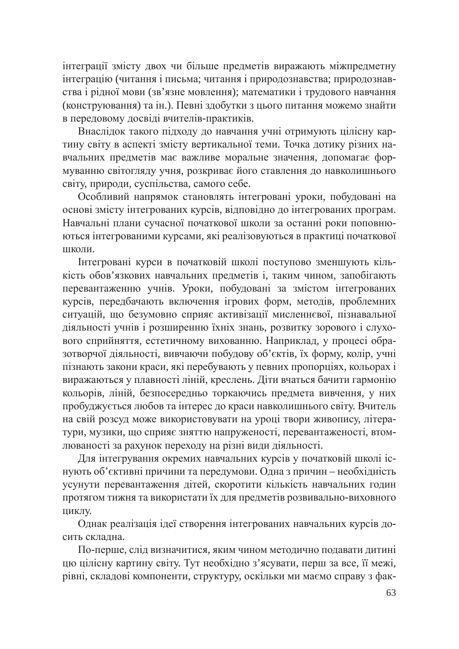інтеграції змісту двох чи більше предметів виражають міжпредметну інтеграцію (читання і письма; читання і природознавства; природознавства і рідної мови (зв'язне мовлення); математики і трудового навчання (конструювання) та ін.). Певні здобутки з цього питання можемо знайти в передовому досвіді вчителів-практиків.

наслідок такого підходу до навчання учні отримують цілісну картину світу в аспекті змісту вертикальної теми. Точка дотику різних навчальних предметів має важливе моральне значення, допомагає формуванню світогляду учня, розкриває його ставлення до навколишнього світу, природи, суспільства, самого себе.

Особливий напрямок становлять інтегровані уроки, побудовані на основі змісту інтегрованих курсів, відповідно до інтегрованих програм. Навчальні плани сучасної початкової школи за останні роки поповнюються інтегрованими курсами, які реалізовуються в практиці початкової школи.

Інтегровані курси в початковій школі поступово зменшують кількість обов'язкових навчальних предметів і, таким чином, запобігають перевантаженню учнів. Уроки, побудовані за змістом інтегрованих курсів, передбачають включення ігрових форм, методів, проблемних ситуацій, що безумовно сприяє активізації мисленнєвої, пізнавальної діяльності учнів і розширенню їхніх знань, розвитку зорового і слухового сприйняття, естетичному вихованню. Наприклад, у процесі образотворчої діяльності, вивчаючи побудову об'єктів, їх форму, колір, учні пізнають закони краси, які перебувають у певних пропорціях, кольорах і виражаються у плавності ліній, креслень. Діти вчаться бачити гармонію кольорів, ліній, безпосередньо торкаючись предмета вивчення, у них пробуджується любов та інтерес до краси навколишнього світу. Вчитель на свій розсуд може використовувати на уроці твори живопису, літератури, музики, що сприяє зняттю напруженості, перевантаженості, втомлюваності за рахунок переходу на різні види діяльності.

Для інтегрування окремих навчальних курсів у початковій школі існують об'єктивні причини та передумови. Одна з причин - необхідність усунути перевантаження дітей, скоротити кількість навчальних годин протягом тижня та використати їх для предметів розвивально-виховного циклу.

Однак реалізація ідеї створення інтегрованих навчальних курсів досить склална.

По-перше, слід визначитися, яким чином методично подавати дитині цю цілісну картину світу. Тут необхідно з'ясувати, перш за все, її межі, рівні, складові компоненти, структуру, оскільки ми маємо справу з фак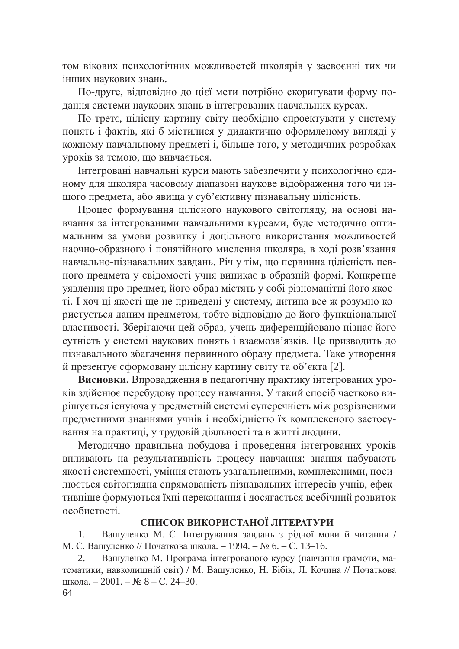том вікових психологічних можливостей школярів у засвоєнні тих чи інших наукових знань.

По-друге, відповідно до цієї мети потрібно скоригувати форму подання системи наукових знань в інтегрованих навчальних курсах.

По-третє, цілісну картину світу необхідно спроектувати у систему понять і фактів, які б містилися у дидактично оформленому вигляді у кожному навчальному предметі і, більше того, у методичних розробках уроків за темою, що вивчається.

Інтегровані навчальні курси мають забезпечити у психологічно єдиному для школяра часовому діапазоні наукове відображення того чи іншого предмета, або явища у суб'єктивну пізнавальну цілісність.

Процес формування цілісного наукового світогляду, на основі навчання за інтегрованими навчальними курсами, буде методично оптимальним за умови розвитку і доцільного використання можливостей наочно-образного і понятійного мислення школяра, в ході розв'язання навчально-пізнавальних завдань. Річ у тім, що первинна цілісність певного предмета у свідомості учня виникає в образній формі. Конкретне уявлення про предмет, його образ містять у собі різноманітні його якості. І хоч ці якості ще не приведені у систему, дитина все ж розумно користується даним предметом, тобто відповідно до його функціональної аластивості. Зберігаючи цей образ, учень диференційовано пізнає його сутність у системі наукових понять і взаємозв'язків. Це призводить до пізнавального збагачення первинного образу предмета. Таке утворення й презентує сформовану цілісну картину світу та об'єкта [2].

Висновки. Впровадження в педагогічну практику інтегрованих уроків здійснює перебудову процесу навчання. У такий спосіб частково вирішується існуюча у предметній системі суперечність між розрізненими предметними знаннями учнів і необхідністю їх комплексного застосування на практиці, у трудовій діяльності та в житті людини.

Методично правильна побудова і проведення інтегрованих уроків впливають на результативність процесу навчання: знання набувають якості системності, уміння стають узагальненими, комплексними, посилюється світоглядна спрямованість пізнавальних інтересів учнів, ефективніше формуються їхні переконання і досягається всебічний розвиток особистості.

## СПИСОК ВИКОРИСТАНОЇ ЛІТЕРАТУРИ

1. Вашуленко М. С. Інтегрування завдань з рідної мови й читання / М. С. Вашуленко // Початкова школа. – 1994. – № 6. – С. 13–16.

2. Вашуленко М. Програма інтегрованого курсу (навчання грамоти, математики, навколишній світ) / М. Вашуленко, Н. Бібік, Л. Кочина // Початкова школа. – 2001. – № 8 – С. 24–30.